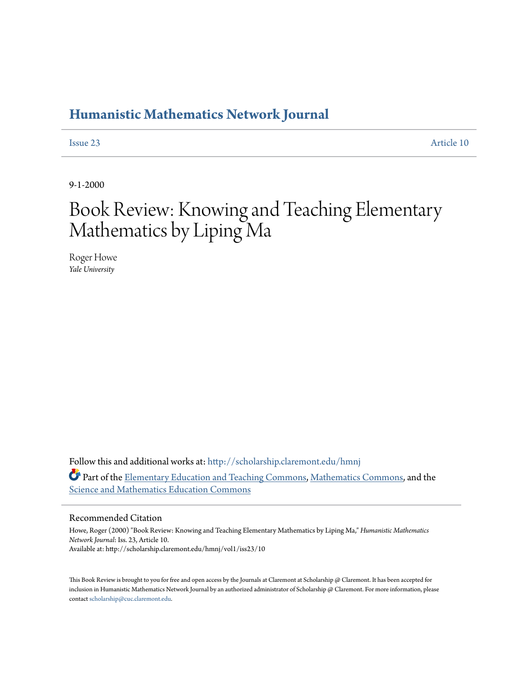### **[Humanistic Mathematics Network Journal](http://scholarship.claremont.edu/hmnj?utm_source=scholarship.claremont.edu%2Fhmnj%2Fvol1%2Fiss23%2F10&utm_medium=PDF&utm_campaign=PDFCoverPages)**

[Issue 23](http://scholarship.claremont.edu/hmnj/vol1/iss23?utm_source=scholarship.claremont.edu%2Fhmnj%2Fvol1%2Fiss23%2F10&utm_medium=PDF&utm_campaign=PDFCoverPages) [Article 10](http://scholarship.claremont.edu/hmnj/vol1/iss23/10?utm_source=scholarship.claremont.edu%2Fhmnj%2Fvol1%2Fiss23%2F10&utm_medium=PDF&utm_campaign=PDFCoverPages)

9-1-2000

# Book Review: Knowing and Teaching Elementary Mathematics by Liping Ma

Roger Howe *Yale University*

Follow this and additional works at: [http://scholarship.claremont.edu/hmnj](http://scholarship.claremont.edu/hmnj?utm_source=scholarship.claremont.edu%2Fhmnj%2Fvol1%2Fiss23%2F10&utm_medium=PDF&utm_campaign=PDFCoverPages) Part of the [Elementary Education and Teaching Commons,](http://network.bepress.com/hgg/discipline/805?utm_source=scholarship.claremont.edu%2Fhmnj%2Fvol1%2Fiss23%2F10&utm_medium=PDF&utm_campaign=PDFCoverPages) [Mathematics Commons](http://network.bepress.com/hgg/discipline/174?utm_source=scholarship.claremont.edu%2Fhmnj%2Fvol1%2Fiss23%2F10&utm_medium=PDF&utm_campaign=PDFCoverPages), and the [Science and Mathematics Education Commons](http://network.bepress.com/hgg/discipline/800?utm_source=scholarship.claremont.edu%2Fhmnj%2Fvol1%2Fiss23%2F10&utm_medium=PDF&utm_campaign=PDFCoverPages)

#### Recommended Citation

Howe, Roger (2000) "Book Review: Knowing and Teaching Elementary Mathematics by Liping Ma," *Humanistic Mathematics Network Journal*: Iss. 23, Article 10. Available at: http://scholarship.claremont.edu/hmnj/vol1/iss23/10

This Book Review is brought to you for free and open access by the Journals at Claremont at Scholarship  $\omega$  Claremont. It has been accepted for inclusion in Humanistic Mathematics Network Journal by an authorized administrator of Scholarship @ Claremont. For more information, please contact [scholarship@cuc.claremont.edu](mailto:scholarship@cuc.claremont.edu).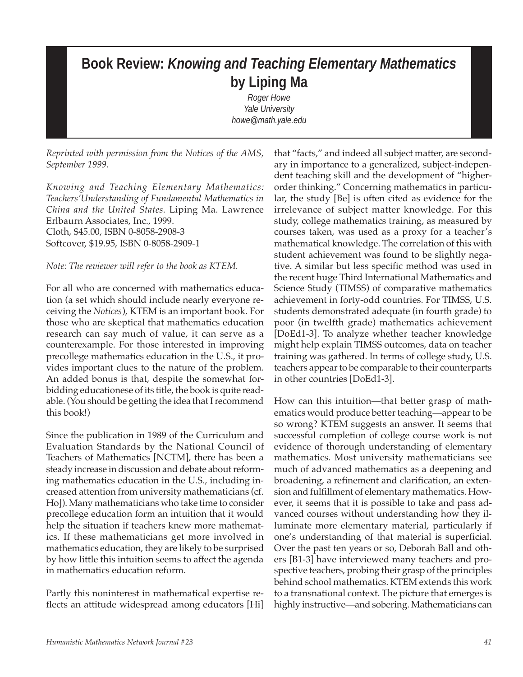## **Book Review:** *Knowing and Teaching Elementary Mathematics* **by Liping Ma**

*Roger Howe Yale University howe@math.yale.edu*

*Reprinted with permission from the Notices of the AMS, September 1999.*

*Knowing and Teaching Elementary Mathematics: Teachers'Understanding of Fundamental Mathematics in China and the United States*. Liping Ma. Lawrence Erlbaurn Associates, Inc., 1999. Cloth, \$45.00, ISBN 0-8058-2908-3 Softcover, \$19.95, ISBN 0-8058-2909-1

*Note: The reviewer will refer to the book as KTEM.*

For all who are concerned with mathematics education (a set which should include nearly everyone receiving the *Notices*), KTEM is an important book. For those who are skeptical that mathematics education research can say much of value, it can serve as a counterexample. For those interested in improving precollege mathematics education in the U.S., it provides important clues to the nature of the problem. An added bonus is that, despite the somewhat forbidding educationese of its title, the book is quite readable. (You should be getting the idea that I recommend this book!)

Since the publication in 1989 of the Curriculum and Evaluation Standards by the National Council of Teachers of Mathematics [NCTM], there has been a steady increase in discussion and debate about reforming mathematics education in the U.S., including increased attention from university mathematicians (cf. Ho]). Many mathematicians who take time to consider precollege education form an intuition that it would help the situation if teachers knew more mathematics. If these mathematicians get more involved in mathematics education, they are likely to be surprised by how little this intuition seems to affect the agenda in mathematics education reform.

Partly this noninterest in mathematical expertise reflects an attitude widespread among educators [Hi]

that "facts," and indeed all subject matter, are secondary in importance to a generalized, subject-independent teaching skill and the development of "higherorder thinking." Concerning mathematics in particular, the study [Be] is often cited as evidence for the irrelevance of subject matter knowledge. For this study, college mathematics training, as measured by courses taken, was used as a proxy for a teacher's mathematical knowledge. The correlation of this with student achievement was found to be slightly negative. A similar but less specific method was used in the recent huge Third International Mathematics and Science Study (TIMSS) of comparative mathematics achievement in forty-odd countries. For TIMSS, U.S. students demonstrated adequate (in fourth grade) to poor (in twelfth grade) mathematics achievement [DoEd1-3]. To analyze whether teacher knowledge might help explain TIMSS outcomes, data on teacher training was gathered. In terms of college study, U.S. teachers appear to be comparable to their counterparts in other countries [DoEd1-3].

How can this intuition—that better grasp of mathematics would produce better teaching—appear to be so wrong? KTEM suggests an answer. It seems that successful completion of college course work is not evidence of thorough understanding of elementary mathematics. Most university mathematicians see much of advanced mathematics as a deepening and broadening, a refinement and clarification, an extension and fulfillment of elementary mathematics. However, it seems that it is possible to take and pass advanced courses without understanding how they illuminate more elementary material, particularly if one's understanding of that material is superficial. Over the past ten years or so, Deborah Ball and others [B1-3] have interviewed many teachers and prospective teachers, probing their grasp of the principles behind school mathematics. KTEM extends this work to a transnational context. The picture that emerges is highly instructive—and sobering. Mathematicians can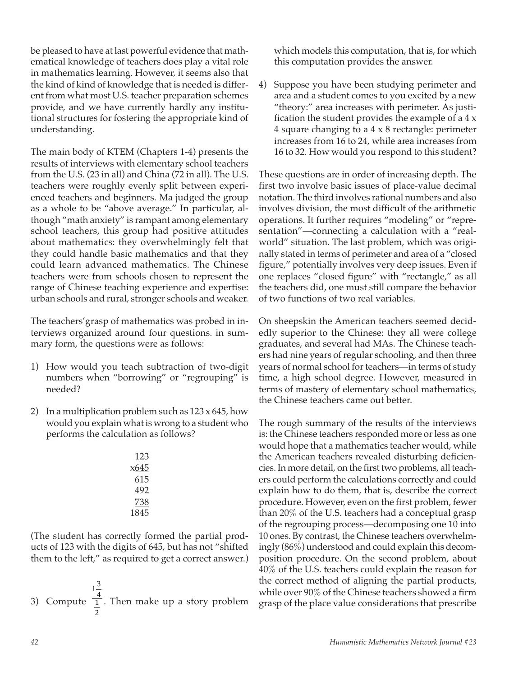be pleased to have at last powerful evidence that mathematical knowledge of teachers does play a vital role in mathematics learning. However, it seems also that the kind of kind of knowledge that is needed is different from what most U.S. teacher preparation schemes provide, and we have currently hardly any institutional structures for fostering the appropriate kind of understanding.

The main body of KTEM (Chapters 1-4) presents the results of interviews with elementary school teachers from the U.S. (23 in all) and China (72 in all). The U.S. teachers were roughly evenly split between experienced teachers and beginners. Ma judged the group as a whole to be "above average." In particular, although "math anxiety" is rampant among elementary school teachers, this group had positive attitudes about mathematics: they overwhelmingly felt that they could handle basic mathematics and that they could learn advanced mathematics. The Chinese teachers were from schools chosen to represent the range of Chinese teaching experience and expertise: urban schools and rural, stronger schools and weaker.

The teachers'grasp of mathematics was probed in interviews organized around four questions. in summary form, the questions were as follows:

- 1) How would you teach subtraction of two-digit numbers when "borrowing" or "regrouping" is needed?
- 2) In a multiplication problem such as  $123 \times 645$ , how would you explain what is wrong to a student who performs the calculation as follows?

| 123  |  |
|------|--|
| х645 |  |
| 615  |  |
| 492  |  |
| 738  |  |
| 1845 |  |

(The student has correctly formed the partial products of 123 with the digits of 645, but has not "shifted them to the left," as required to get a correct answer.)

3) Compute 
$$
\frac{1\frac{3}{4}}{\frac{1}{2}}
$$
. Then make up a story problem

which models this computation, that is, for which this computation provides the answer.

4) Suppose you have been studying perimeter and area and a student comes to you excited by a new "theory:" area increases with perimeter. As justification the student provides the example of a 4 x 4 square changing to a 4 x 8 rectangle: perimeter increases from 16 to 24, while area increases from 16 to 32. How would you respond to this student?

These questions are in order of increasing depth. The first two involve basic issues of place-value decimal notation. The third involves rational numbers and also involves division, the most difficult of the arithmetic operations. It further requires "modeling" or "representation"—connecting a calculation with a "realworld" situation. The last problem, which was originally stated in terms of perimeter and area of a "closed figure," potentially involves very deep issues. Even if one replaces "closed figure" with "rectangle," as all the teachers did, one must still compare the behavior of two functions of two real variables.

On sheepskin the American teachers seemed decidedly superior to the Chinese: they all were college graduates, and several had MAs. The Chinese teachers had nine years of regular schooling, and then three years of normal school for teachers—in terms of study time, a high school degree. However, measured in terms of mastery of elementary school mathematics, the Chinese teachers came out better.

The rough summary of the results of the interviews is: the Chinese teachers responded more or less as one would hope that a mathematics teacher would, while the American teachers revealed disturbing deficiencies. In more detail, on the first two problems, all teachers could perform the calculations correctly and could explain how to do them, that is, describe the correct procedure. However, even on the first problem, fewer than 20% of the U.S. teachers had a conceptual grasp of the regrouping process—decomposing one 10 into 10 ones. By contrast, the Chinese teachers overwhelmingly (86%) understood and could explain this decomposition procedure. On the second problem, about 40% of the U.S. teachers could explain the reason for the correct method of aligning the partial products, while over 90% of the Chinese teachers showed a firm grasp of the place value considerations that prescribe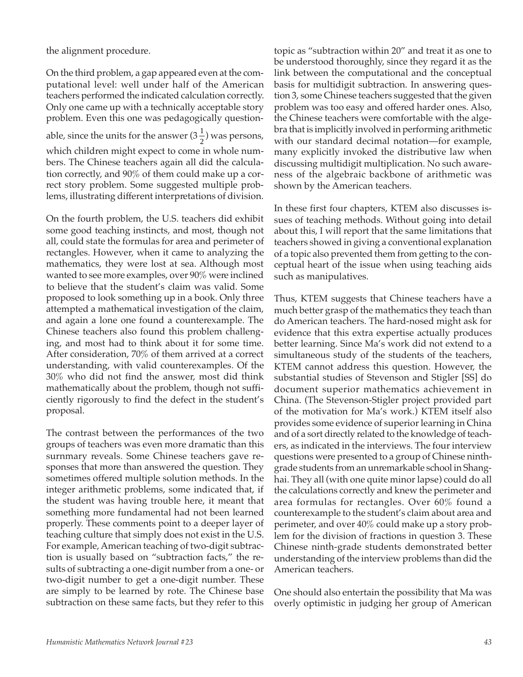the alignment procedure.

On the third problem, a gap appeared even at the computational level: well under half of the American teachers performed the indicated calculation correctly. Only one came up with a technically acceptable story problem. Even this one was pedagogically questionable, since the units for the answer  $(3\frac{1}{2})$  was persons, which children might expect to come in whole numbers. The Chinese teachers again all did the calculation correctly, and 90% of them could make up a correct story problem. Some suggested multiple problems, illustrating different interpretations of division.

On the fourth problem, the U.S. teachers did exhibit some good teaching instincts, and most, though not all, could state the formulas for area and perimeter of rectangles. However, when it came to analyzing the mathematics, they were lost at sea. Although most wanted to see more examples, over 90% were inclined to believe that the student's claim was valid. Some proposed to look something up in a book. Only three attempted a mathematical investigation of the claim, and again a lone one found a counterexample. The Chinese teachers also found this problem challenging, and most had to think about it for some time. After consideration, 70% of them arrived at a correct understanding, with valid counterexamples. Of the 30% who did not find the answer, most did think mathematically about the problem, though not sufficiently rigorously to find the defect in the student's proposal.

The contrast between the performances of the two groups of teachers was even more dramatic than this surnmary reveals. Some Chinese teachers gave responses that more than answered the question. They sometimes offered multiple solution methods. In the integer arithmetic problems, some indicated that, if the student was having trouble here, it meant that something more fundamental had not been learned properly. These comments point to a deeper layer of teaching culture that simply does not exist in the U.S. For example, American teaching of two-digit subtraction is usually based on "subtraction facts," the results of subtracting a one-digit number from a one- or two-digit number to get a one-digit number. These are simply to be learned by rote. The Chinese base subtraction on these same facts, but they refer to this

topic as "subtraction within 20" and treat it as one to be understood thoroughly, since they regard it as the link between the computational and the conceptual basis for multidigit subtraction. In answering question 3, some Chinese teachers suggested that the given problem was too easy and offered harder ones. Also, the Chinese teachers were comfortable with the algebra that is implicitly involved in performing arithmetic with our standard decimal notation—for example, many explicitly invoked the distributive law when discussing multidigit multiplication. No such awareness of the algebraic backbone of arithmetic was shown by the American teachers.

In these first four chapters, KTEM also discusses issues of teaching methods. Without going into detail about this, I will report that the same limitations that teachers showed in giving a conventional explanation of a topic also prevented them from getting to the conceptual heart of the issue when using teaching aids such as manipulatives.

Thus, KTEM suggests that Chinese teachers have a much better grasp of the mathematics they teach than do American teachers. The hard-nosed might ask for evidence that this extra expertise actually produces better learning. Since Ma's work did not extend to a simultaneous study of the students of the teachers, KTEM cannot address this question. However, the substantial studies of Stevenson and Stigler [SS] do document superior mathematics achievement in China. (The Stevenson-Stigler project provided part of the motivation for Ma's work.) KTEM itself also provides some evidence of superior learning in China and of a sort directly related to the knowledge of teachers, as indicated in the interviews. The four interview questions were presented to a group of Chinese ninthgrade students from an unremarkable school in Shanghai. They all (with one quite minor lapse) could do all the calculations correctly and knew the perimeter and area formulas for rectangles. Over 60% found a counterexample to the student's claim about area and perimeter, and over 40% could make up a story problem for the division of fractions in question 3. These Chinese ninth-grade students demonstrated better understanding of the interview problems than did the American teachers.

One should also entertain the possibility that Ma was overly optimistic in judging her group of American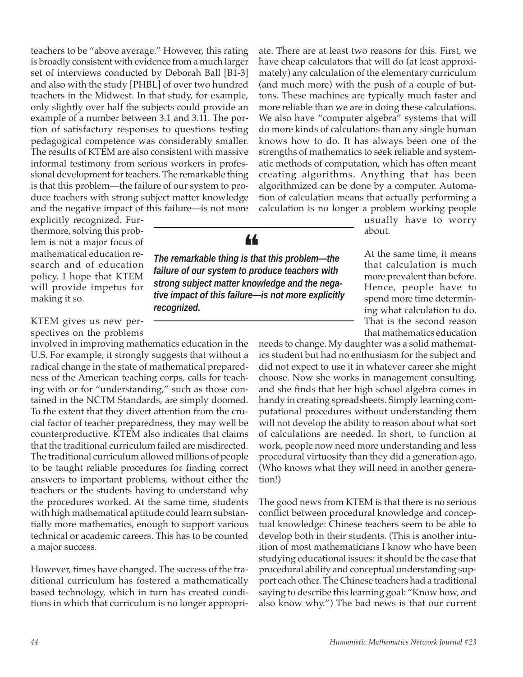teachers to be "above average." However, this rating is broadly consistent with evidence from a much larger set of interviews conducted by Deborah Ball [B1-3] and also with the study [PHBL] of over two hundred teachers in the Midwest. In that study, for example, only slightly over half the subjects could provide an example of a number between 3.1 and 3.11. The portion of satisfactory responses to questions testing pedagogical competence was considerably smaller. The results of KTEM are also consistent with massive informal testimony from serious workers in professional development for teachers. The remarkable thing is that this problem—the failure of our system to produce teachers with strong subject matter knowledge and the negative impact of this failure—is not more

explicitly recognized. Furthermore, solving this problem is not a major focus of mathematical education research and of education policy. I hope that KTEM will provide impetus for making it so.

KTEM gives us new perspectives on the problems

involved in improving mathematics education in the U.S. For example, it strongly suggests that without a radical change in the state of mathematical preparedness of the American teaching corps, calls for teaching with or for "understanding," such as those contained in the NCTM Standards, are simply doomed. To the extent that they divert attention from the crucial factor of teacher preparedness, they may well be counterproductive. KTEM also indicates that claims that the traditional curriculum failed are misdirected. The traditional curriculum allowed millions of people to be taught reliable procedures for finding correct answers to important problems, without either the teachers or the students having to understand why the procedures worked. At the same time, students with high mathematical aptitude could learn substantially more mathematics, enough to support various technical or academic careers. This has to be counted a major success.

*recognized.*

However, times have changed. The success of the traditional curriculum has fostered a mathematically based technology, which in turn has created conditions in which that curriculum is no longer appropri-

ate. There are at least two reasons for this. First, we have cheap calculators that will do (at least approximately) any calculation of the elementary curriculum (and much more) with the push of a couple of buttons. These machines are typically much faster and more reliable than we are in doing these calculations. We also have "computer algebra" systems that will do more kinds of calculations than any single human knows how to do. It has always been one of the strengths of mathematics to seek reliable and systematic methods of computation, which has often meant creating algorithms. Anything that has been algorithmized can be done by a computer. Automation of calculation means that actually performing a calculation is no longer a problem working people

usually have to worry about.

At the same time, it means that calculation is much more prevalent than before. Hence, people have to spend more time determining what calculation to do. That is the second reason that mathematics education

needs to change. My daughter was a solid mathematics student but had no enthusiasm for the subject and did not expect to use it in whatever career she might choose. Now she works in management consulting, and she finds that her high school algebra comes in handy in creating spreadsheets. Simply learning computational procedures without understanding them will not develop the ability to reason about what sort of calculations are needed. In short, to function at work, people now need more understanding and less procedural virtuosity than they did a generation ago. (Who knows what they will need in another generation!)

The good news from KTEM is that there is no serious conflict between procedural knowledge and conceptual knowledge: Chinese teachers seem to be able to develop both in their students. (This is another intuition of most mathematicians I know who have been studying educational issues: it should be the case that procedural ability and conceptual understanding support each other. The Chinese teachers had a traditional saying to describe this learning goal: "Know how, and also know why.") The bad news is that our current

*44 Humanistic Mathematics Network Journal #23*

*The remarkable thing is that this problem—the* ❝ *failure of our system to produce teachers with strong subject matter knowledge and the negative impact of this failure—is not more explicitly*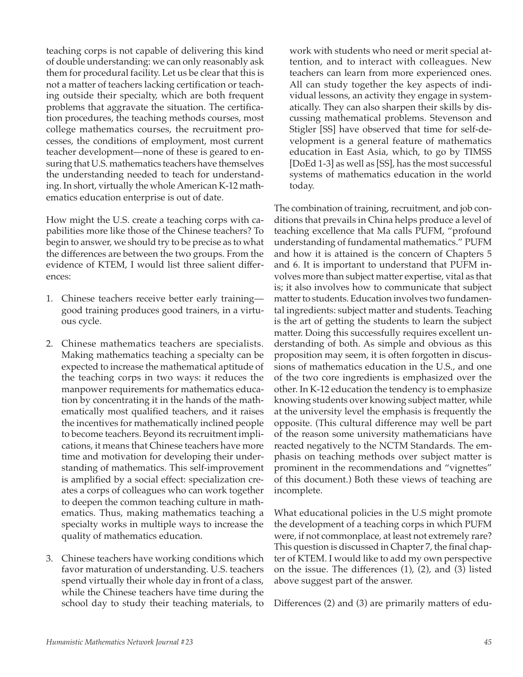teaching corps is not capable of delivering this kind of double understanding: we can only reasonably ask them for procedural facility. Let us be clear that this is not a matter of teachers lacking certification or teaching outside their specialty, which are both frequent problems that aggravate the situation. The certification procedures, the teaching methods courses, most college mathematics courses, the recruitment processes, the conditions of employment, most current teacher development—none of these is geared to ensuring that U.S. mathematics teachers have themselves the understanding needed to teach for understanding. In short, virtually the whole American K-12 mathematics education enterprise is out of date.

How might the U.S. create a teaching corps with capabilities more like those of the Chinese teachers? To begin to answer, we should try to be precise as to what the differences are between the two groups. From the evidence of KTEM, I would list three salient differences:

- 1. Chinese teachers receive better early training good training produces good trainers, in a virtuous cycle.
- 2. Chinese mathematics teachers are specialists. Making mathematics teaching a specialty can be expected to increase the mathematical aptitude of the teaching corps in two ways: it reduces the manpower requirements for mathematics education by concentrating it in the hands of the mathematically most qualified teachers, and it raises the incentives for mathematically inclined people to become teachers. Beyond its recruitment implications, it means that Chinese teachers have more time and motivation for developing their understanding of mathematics. This self-improvement is amplified by a social effect: specialization creates a corps of colleagues who can work together to deepen the common teaching culture in mathematics. Thus, making mathematics teaching a specialty works in multiple ways to increase the quality of mathematics education.
- 3. Chinese teachers have working conditions which favor maturation of understanding. U.S. teachers spend virtually their whole day in front of a class, while the Chinese teachers have time during the school day to study their teaching materials, to

work with students who need or merit special attention, and to interact with colleagues. New teachers can learn from more experienced ones. All can study together the key aspects of individual lessons, an activity they engage in systematically. They can also sharpen their skills by discussing mathematical problems. Stevenson and Stigler [SS] have observed that time for self-development is a general feature of mathematics education in East Asia, which, to go by TIMSS [DoEd 1-3] as well as [SS], has the most successful systems of mathematics education in the world today.

The combination of training, recruitment, and job conditions that prevails in China helps produce a level of teaching excellence that Ma calls PUFM, "profound understanding of fundamental mathematics." PUFM and how it is attained is the concern of Chapters 5 and 6. It is important to understand that PUFM involves more than subject matter expertise, vital as that is; it also involves how to communicate that subject matter to students. Education involves two fundamental ingredients: subject matter and students. Teaching is the art of getting the students to learn the subject matter. Doing this successfully requires excellent understanding of both. As simple and obvious as this proposition may seem, it is often forgotten in discussions of mathematics education in the U.S., and one of the two core ingredients is emphasized over the other. In K-12 education the tendency is to emphasize knowing students over knowing subject matter, while at the university level the emphasis is frequently the opposite. (This cultural difference may well be part of the reason some university mathematicians have reacted negatively to the NCTM Standards. The emphasis on teaching methods over subject matter is prominent in the recommendations and "vignettes" of this document.) Both these views of teaching are incomplete.

What educational policies in the U.S might promote the development of a teaching corps in which PUFM were, if not commonplace, at least not extremely rare? This question is discussed in Chapter 7, the final chapter of KTEM. I would like to add my own perspective on the issue. The differences (1), (2), and (3) listed above suggest part of the answer.

Differences (2) and (3) are primarily matters of edu-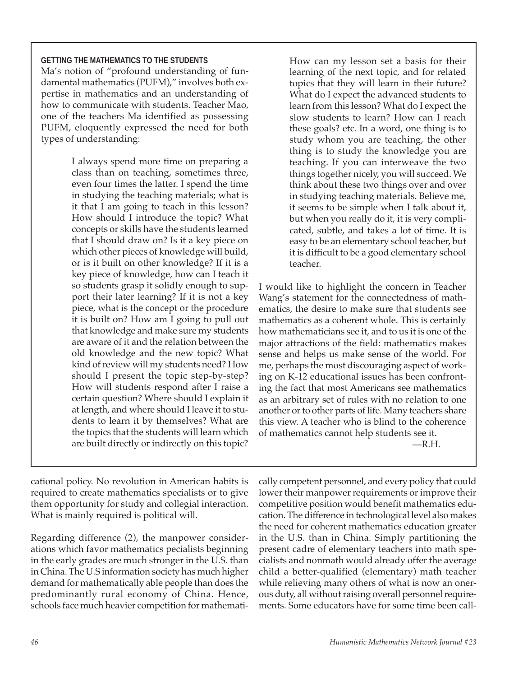### **GETTING THE MATHEMATICS TO THE STUDENTS**

Ma's notion of "profound understanding of fundamental mathematics (PUFM)," involves both expertise in mathematics and an understanding of how to communicate with students. Teacher Mao, one of the teachers Ma identified as possessing PUFM, eloquently expressed the need for both types of understanding:

> I always spend more time on preparing a class than on teaching, sometimes three, even four times the latter. I spend the time in studying the teaching materials; what is it that I am going to teach in this lesson? How should I introduce the topic? What concepts or skills have the students learned that I should draw on? Is it a key piece on which other pieces of knowledge will build, or is it built on other knowledge? If it is a key piece of knowledge, how can I teach it so students grasp it solidly enough to support their later learning? If it is not a key piece, what is the concept or the procedure it is built on? How am I going to pull out that knowledge and make sure my students are aware of it and the relation between the old knowledge and the new topic? What kind of review will my students need? How should I present the topic step-by-step? How will students respond after I raise a certain question? Where should I explain it at length, and where should I leave it to students to learn it by themselves? What are the topics that the students will learn which are built directly or indirectly on this topic?

How can my lesson set a basis for their learning of the next topic, and for related topics that they will learn in their future? What do I expect the advanced students to learn from this lesson? What do I expect the slow students to learn? How can I reach these goals? etc. In a word, one thing is to study whom you are teaching, the other thing is to study the knowledge you are teaching. If you can interweave the two things together nicely, you will succeed. We think about these two things over and over in studying teaching materials. Believe me, it seems to be simple when I talk about it, but when you really do it, it is very complicated, subtle, and takes a lot of time. It is easy to be an elementary school teacher, but it is difficult to be a good elementary school teacher.

I would like to highlight the concern in Teacher Wang's statement for the connectedness of mathematics, the desire to make sure that students see mathematics as a coherent whole. This is certainly how mathematicians see it, and to us it is one of the major attractions of the field: mathematics makes sense and helps us make sense of the world. For me, perhaps the most discouraging aspect of working on K-12 educational issues has been confronting the fact that most Americans see mathematics as an arbitrary set of rules with no relation to one another or to other parts of life. Many teachers share this view. A teacher who is blind to the coherence of mathematics cannot help students see it.

 $-R.H.$ 

cational policy. No revolution in American habits is required to create mathematics specialists or to give them opportunity for study and collegial interaction. What is mainly required is political will.

Regarding difference (2), the manpower considerations which favor mathematics pecialists beginning in the early grades are much stronger in the U.S. than in China. The U.S information society has much higher demand for mathematically able people than does the predominantly rural economy of China. Hence, schools face much heavier competition for mathemati-

cally competent personnel, and every policy that could lower their manpower requirements or improve their competitive position would benefit mathematics education. The difference in technological level also makes the need for coherent mathematics education greater in the U.S. than in China. Simply partitioning the present cadre of elementary teachers into math specialists and nonmath would already offer the average child a better-qualified (elementary) math teacher while relieving many others of what is now an onerous duty, all without raising overall personnel requirements. Some educators have for some time been call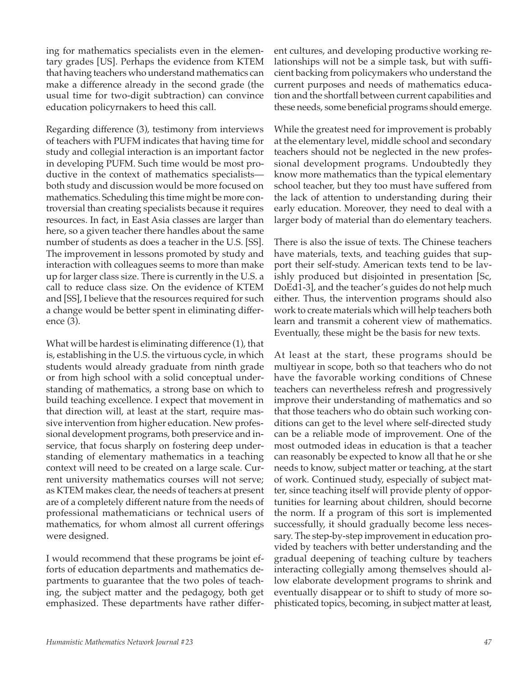ing for mathematics specialists even in the elementary grades [US]. Perhaps the evidence from KTEM that having teachers who understand mathematics can make a difference already in the second grade (the usual time for two-digit subtraction) can convince education policyrnakers to heed this call.

Regarding difference (3), testimony from interviews of teachers with PUFM indicates that having time for study and collegial interaction is an important factor in developing PUFM. Such time would be most productive in the context of mathematics specialists both study and discussion would be more focused on mathematics. Scheduling this time might be more controversial than creating specialists because it requires resources. In fact, in East Asia classes are larger than here, so a given teacher there handles about the same number of students as does a teacher in the U.S. [SS]. The improvement in lessons promoted by study and interaction with colleagues seems to more than make up for larger class size. There is currently in the U.S. a call to reduce class size. On the evidence of KTEM and [SS], I believe that the resources required for such a change would be better spent in eliminating difference (3).

What will be hardest is eliminating difference (1), that is, establishing in the U.S. the virtuous cycle, in which students would already graduate from ninth grade or from high school with a solid conceptual understanding of mathematics, a strong base on which to build teaching excellence. I expect that movement in that direction will, at least at the start, require massive intervention from higher education. New professional development programs, both preservice and inservice, that focus sharply on fostering deep understanding of elementary mathematics in a teaching context will need to be created on a large scale. Current university mathematics courses will not serve; as KTEM makes clear, the needs of teachers at present are of a completely different nature from the needs of professional mathematicians or technical users of mathematics, for whom almost all current offerings were designed.

I would recommend that these programs be joint efforts of education departments and mathematics departments to guarantee that the two poles of teaching, the subject matter and the pedagogy, both get emphasized. These departments have rather different cultures, and developing productive working relationships will not be a simple task, but with sufficient backing from policymakers who understand the current purposes and needs of mathematics education and the shortfall between current capabilities and these needs, some beneficial programs should emerge.

While the greatest need for improvement is probably at the elementary level, middle school and secondary teachers should not be neglected in the new professional development programs. Undoubtedly they know more mathematics than the typical elementary school teacher, but they too must have suffered from the lack of attention to understanding during their early education. Moreover, they need to deal with a larger body of material than do elementary teachers.

There is also the issue of texts. The Chinese teachers have materials, texts, and teaching guides that support their self-study. American texts tend to be lavishly produced but disjointed in presentation [Sc, DoEd1-3], and the teacher's guides do not help much either. Thus, the intervention programs should also work to create materials which will help teachers both learn and transmit a coherent view of mathematics. Eventually, these might be the basis for new texts.

At least at the start, these programs should be multiyear in scope, both so that teachers who do not have the favorable working conditions of Chnese teachers can nevertheless refresh and progressively improve their understanding of mathematics and so that those teachers who do obtain such working conditions can get to the level where self-directed study can be a reliable mode of improvement. One of the most outmoded ideas in education is that a teacher can reasonably be expected to know all that he or she needs to know, subject matter or teaching, at the start of work. Continued study, especially of subject matter, since teaching itself will provide plenty of opportunities for learning about children, should becorne the norm. If a program of this sort is implemented successfully, it should gradually become less necessary. The step-by-step improvement in education provided by teachers with better understanding and the gradual deepening of teaching culture by teachers interacting collegially among themselves should allow elaborate development programs to shrink and eventually disappear or to shift to study of more sophisticated topics, becoming, in subject matter at least,